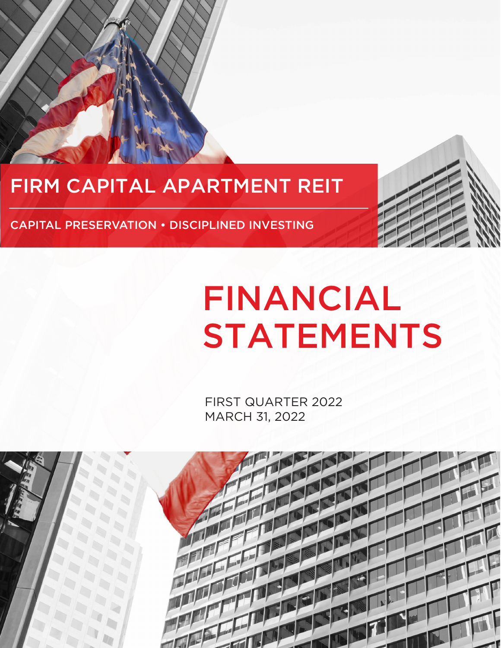## FIRM CAPITAL APARTMENT REIT

CAPITAL PRESERVATION • DISCIPLINED INVESTING

# FINANCIAL STATEMENTS

FIRST QUARTER 2022 MARCH 31, 2022

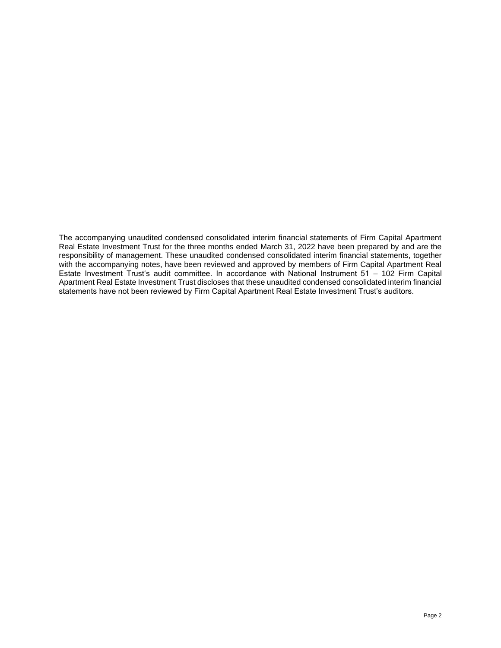The accompanying unaudited condensed consolidated interim financial statements of Firm Capital Apartment Real Estate Investment Trust for the three months ended March 31, 2022 have been prepared by and are the responsibility of management. These unaudited condensed consolidated interim financial statements, together with the accompanying notes, have been reviewed and approved by members of Firm Capital Apartment Real Estate Investment Trust's audit committee. In accordance with National Instrument 51 – 102 Firm Capital Apartment Real Estate Investment Trust discloses that these unaudited condensed consolidated interim financial statements have not been reviewed by Firm Capital Apartment Real Estate Investment Trust's auditors.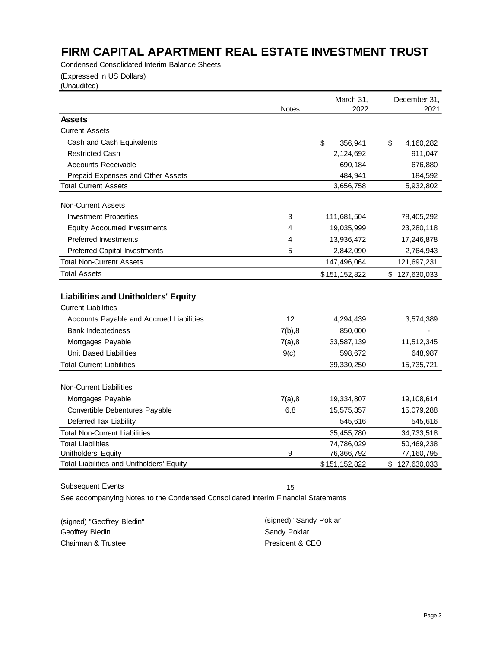Condensed Consolidated Interim Balance Sheets

(Expressed in US Dollars)

(Unaudited)

|                                            |              | March 31,     | December 31,             |
|--------------------------------------------|--------------|---------------|--------------------------|
|                                            | <b>Notes</b> | 2022          | 2021                     |
| <b>Assets</b>                              |              |               |                          |
| <b>Current Assets</b>                      |              |               |                          |
| Cash and Cash Equivalents                  |              | \$<br>356,941 | \$<br>4,160,282          |
| <b>Restricted Cash</b>                     |              | 2,124,692     | 911,047                  |
| <b>Accounts Receivable</b>                 |              | 690,184       | 676,880                  |
| Prepaid Expenses and Other Assets          |              | 484,941       | 184,592                  |
| <b>Total Current Assets</b>                |              | 3,656,758     | 5,932,802                |
| <b>Non-Current Assets</b>                  |              |               |                          |
| <b>Investment Properties</b>               | 3            | 111,681,504   | 78,405,292               |
| <b>Equity Accounted Investments</b>        | 4            | 19,035,999    | 23,280,118               |
| <b>Preferred Investments</b>               | 4            | 13,936,472    | 17,246,878               |
| <b>Preferred Capital Investments</b>       | 5            | 2,842,090     | 2,764,943                |
| <b>Total Non-Current Assets</b>            |              | 147,496,064   | 121,697,231              |
| <b>Total Assets</b>                        |              | \$151,152,822 | \$127,630,033            |
|                                            |              |               |                          |
| <b>Liabilities and Unitholders' Equity</b> |              |               |                          |
| <b>Current Liabilities</b>                 |              |               |                          |
| Accounts Payable and Accrued Liabilities   | 12           | 4,294,439     | 3,574,389                |
| <b>Bank Indebtedness</b>                   | 7(b), 8      | 850,000       |                          |
| Mortgages Payable                          | 7(a), 8      | 33,587,139    | 11,512,345               |
| <b>Unit Based Liabilities</b>              | 9(c)         | 598,672       | 648,987                  |
| <b>Total Current Liabilities</b>           |              | 39,330,250    | 15,735,721               |
| <b>Non-Current Liabilities</b>             |              |               |                          |
| Mortgages Payable                          | 7(a), 8      | 19,334,807    | 19,108,614               |
| Convertible Debentures Payable             | 6,8          | 15,575,357    | 15,079,288               |
| Deferred Tax Liability                     |              | 545,616       | 545,616                  |
| <b>Total Non-Current Liabilities</b>       |              | 35,455,780    | 34,733,518               |
| <b>Total Liabilities</b>                   |              | 74,786,029    |                          |
| Unitholders' Equity                        | 9            | 76,366,792    | 50,469,238<br>77,160,795 |
| Total Liabilities and Unitholders' Equity  |              | \$151,152,822 | \$127,630,033            |
|                                            |              |               |                          |

Subsequent Events 15

| (signed) "Geoffrey Bledin" | (signed) "Sandy Poklar" |
|----------------------------|-------------------------|
| Geoffrev Bledin            | Sandy Poklar            |
| Chairman & Trustee         | President & CEO         |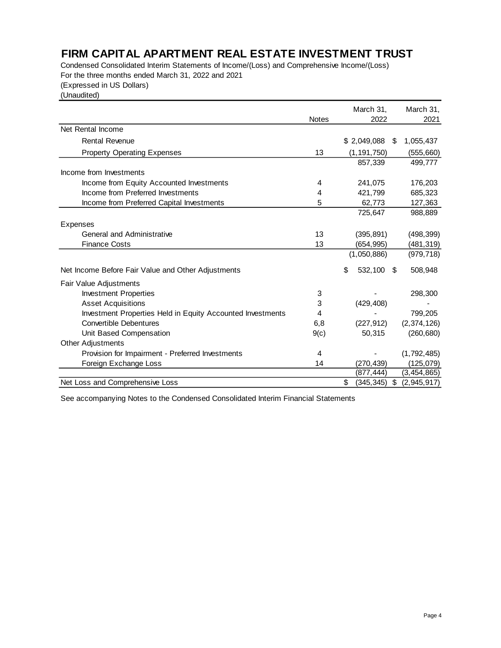Condensed Consolidated Interim Statements of Income/(Loss) and Comprehensive Income/(Loss) For the three months ended March 31, 2022 and 2021

(Expressed in US Dollars)

(Unaudited)

|                                                            |              | March 31,           | March 31,         |
|------------------------------------------------------------|--------------|---------------------|-------------------|
|                                                            | <b>Notes</b> | 2022                | 2021              |
| Net Rental Income                                          |              |                     |                   |
| <b>Rental Revenue</b>                                      |              | \$2,049,088         | 1,055,437<br>S    |
| <b>Property Operating Expenses</b>                         | 13           | (1, 191, 750)       | (555,660)         |
|                                                            |              | 857,339             | 499,777           |
| Income from Investments                                    |              |                     |                   |
| Income from Equity Accounted Investments                   | 4            | 241,075             | 176,203           |
| Income from Preferred Investments                          | 4            | 421,799             | 685,323           |
| Income from Preferred Capital Investments                  | 5            | 62,773              | 127,363           |
|                                                            |              | 725,647             | 988,889           |
| <b>Expenses</b>                                            |              |                     |                   |
| General and Administrative                                 | 13           | (395, 891)          | (498, 399)        |
| <b>Finance Costs</b>                                       | 13           | (654, 995)          | (481,319)         |
|                                                            |              | (1,050,886)         | (979, 718)        |
| Net Income Before Fair Value and Other Adjustments         |              | \$<br>532,100<br>\$ | 508,948           |
| Fair Value Adjustments                                     |              |                     |                   |
| <b>Investment Properties</b>                               | 3            |                     | 298,300           |
| <b>Asset Acquisitions</b>                                  | 3            | (429, 408)          |                   |
| Investment Properties Held in Equity Accounted Investments | 4            |                     | 799,205           |
| <b>Convertible Debentures</b>                              | 6,8          | (227, 912)          | (2,374,126)       |
| Unit Based Compensation                                    | 9(c)         | 50,315              | (260, 680)        |
| <b>Other Adjustments</b>                                   |              |                     |                   |
| Provision for Impairment - Preferred Investments           | 4            |                     | (1,792,485)       |
| Foreign Exchange Loss                                      | 14           | (270, 439)          | (125, 079)        |
|                                                            |              | (877, 444)          | (3,454,865)       |
| Net Loss and Comprehensive Loss                            |              | \$<br>(345, 345)    | \$<br>(2,945,917) |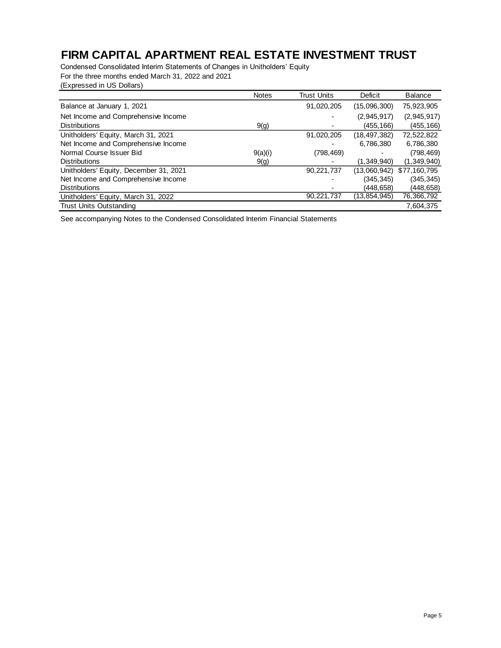Condensed Consolidated Interim Statements of Changes in Unitholders' Equity For the three months ended March 31, 2022 and 2021

| (Expressed in US Dollars) |  |  |
|---------------------------|--|--|
|                           |  |  |

|                                        | <b>Notes</b> | <b>Trust Units</b> | Deficit        | <b>Balance</b> |
|----------------------------------------|--------------|--------------------|----------------|----------------|
| Balance at January 1, 2021             |              | 91,020,205         | (15,096,300)   | 75,923,905     |
| Net Income and Comprehensive Income    |              |                    | (2,945,917)    | (2,945,917)    |
| <b>Distributions</b>                   | 9(g)         |                    | (455,166)      | (455, 166)     |
| Unitholders' Equity, March 31, 2021    |              | 91,020,205         | (18, 497, 382) | 72,522,822     |
| Net Income and Comprehensive Income    |              |                    | 6,786,380      | 6,786,380      |
| Normal Course Issuer Bid               | 9(a)(i)      | (798, 469)         |                | (798,469)      |
| <b>Distributions</b>                   | 9(g)         |                    | (1.349.940)    | (1,349,940)    |
| Unitholders' Equity, December 31, 2021 |              | 90,221,737         | (13,060,942)   | \$77,160,795   |
| Net Income and Comprehensive Income    |              |                    | (345, 345)     | (345, 345)     |
| <b>Distributions</b>                   |              |                    | (448.658)      | (448,658)      |
| Unitholders' Equity, March 31, 2022    |              | 90,221,737         | (13,854,945)   | 76,366,792     |
| <b>Trust Units Outstanding</b>         |              |                    |                | 7,604,375      |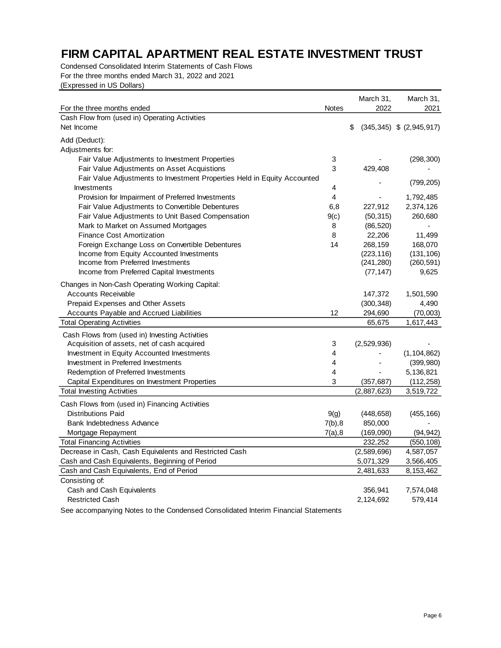Condensed Consolidated Interim Statements of Cash Flows For the three months ended March 31, 2022 and 2021 (Expressed in US Dollars)

|                                                                          |              | March 31,   | March 31,                    |
|--------------------------------------------------------------------------|--------------|-------------|------------------------------|
| For the three months ended                                               | <b>Notes</b> | 2022        | 2021                         |
| Cash Flow from (used in) Operating Activities<br>Net Income              |              |             | $(345,345)$ \$ $(2,945,917)$ |
|                                                                          |              | \$          |                              |
| Add (Deduct):                                                            |              |             |                              |
| Adjustments for:                                                         |              |             |                              |
| Fair Value Adjustments to Investment Properties                          | 3            |             | (298, 300)                   |
| Fair Value Adjustments on Asset Acquistions                              | 3            | 429,408     |                              |
| Fair Value Adjustments to Investment Properties Held in Equity Accounted |              |             | (799, 205)                   |
| Investments                                                              | 4            |             |                              |
| Provision for Impairment of Preferred Investments                        | 4            |             | 1,792,485                    |
| Fair Value Adjustments to Convertible Debentures                         | 6,8          | 227,912     | 2,374,126                    |
| Fair Value Adjustments to Unit Based Compensation                        | 9(c)         | (50, 315)   | 260,680                      |
| Mark to Market on Assumed Mortgages                                      | 8            | (86, 520)   |                              |
| <b>Finance Cost Amortization</b>                                         | 8            | 22,206      | 11,499                       |
| Foreign Exchange Loss on Convertible Debentures                          | 14           | 268,159     | 168,070                      |
| Income from Equity Accounted Investments                                 |              | (223, 116)  | (131, 106)                   |
| Income from Preferred Investments                                        |              | (241, 280)  | (260, 591)                   |
| Income from Preferred Capital Investments                                |              | (77, 147)   | 9,625                        |
| Changes in Non-Cash Operating Working Capital:                           |              |             |                              |
| <b>Accounts Receivable</b>                                               |              | 147,372     | 1,501,590                    |
| Prepaid Expenses and Other Assets                                        |              | (300, 348)  | 4,490                        |
| Accounts Payable and Accrued Liabilities                                 | 12           | 294,690     | (70,003)                     |
| <b>Total Operating Activities</b>                                        |              | 65,675      | 1,617,443                    |
| Cash Flows from (used in) Investing Activities                           |              |             |                              |
| Acquisition of assets, net of cash acquired                              | 3            | (2,529,936) |                              |
| Investment in Equity Accounted Investments                               | 4            |             | (1, 104, 862)                |
| Investment in Preferred Investments                                      | 4            |             | (399, 980)                   |
| Redemption of Preferred Investments                                      | 4            |             | 5,136,821                    |
| Capital Expenditures on Investment Properties                            | 3            | (357, 687)  | (112, 258)                   |
| <b>Total Investing Activities</b>                                        |              | (2,887,623) | 3,519,722                    |
| Cash Flows from (used in) Financing Activities                           |              |             |                              |
| <b>Distributions Paid</b>                                                | 9(g)         | (448, 658)  | (455, 166)                   |
| Bank Indebtedness Advance                                                | 7(b), 8      | 850,000     |                              |
| Mortgage Repayment                                                       | 7(a), 8      | (169,090)   | (94, 942)                    |
| <b>Total Financing Activities</b>                                        |              | 232,252     | (550, 108)                   |
| Decrease in Cash, Cash Equivalents and Restricted Cash                   |              | (2,589,696) | 4,587,057                    |
| Cash and Cash Equivalents, Beginning of Period                           |              | 5,071,329   | 3,566,405                    |
| Cash and Cash Equivalents, End of Period                                 |              | 2,481,633   | 8,153,462                    |
| Consisting of:                                                           |              |             |                              |
| Cash and Cash Equivalents                                                |              | 356,941     | 7,574,048                    |
| <b>Restricted Cash</b>                                                   |              | 2,124,692   | 579,414                      |
|                                                                          |              |             |                              |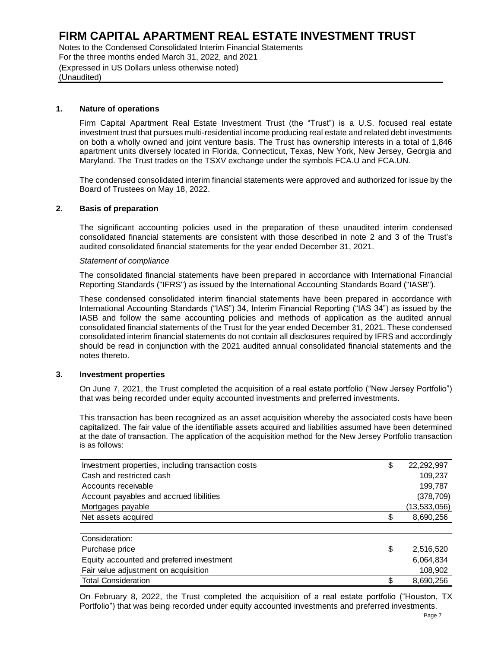Notes to the Condensed Consolidated Interim Financial Statements For the three months ended March 31, 2022, and 2021 (Expressed in US Dollars unless otherwise noted) (Unaudited)

#### **1. Nature of operations**

Maryland. The Trust trades on the TSXV exchange under the symbols FCA.U and FCA.UN. apartment units diversely located in Florida, Connecticut, Texas, New York, New Jersey, Georgia and on both a wholly owned and joint venture basis. The Trust has ownership interests in a total of 1,846 investment trust that pursues multi-residential income producing real estate and related debt investments Firm Capital Apartment Real Estate Investment Trust (the "Trust") is a U.S. focused real estate

Board of Trustees on May 18, 2022. The condensed consolidated interim financial statements were approved and authorized for issue by the

#### **2. Basis of preparation**

audited consolidated financial statements for the year ended December 31, 2021. consolidated financial statements are consistent with those described in note 2 and 3 of the Trust's The significant accounting policies used in the preparation of these unaudited interim condensed

#### *Statement of compliance*

Reporting Standards ("IFRS") as issued by the International Accounting Standards Board ("IASB"). The consolidated financial statements have been prepared in accordance with International Financial

notes thereto. should be read in conjunction with the 2021 audited annual consolidated financial statements and the consolidated interim financial statements do not contain all disclosures required by IFRS and accordingly consolidated financial statements of the Trust for the year ended December 31, 2021. These condensed IASB and follow the same accounting policies and methods of application as the audited annual International Accounting Standards ("IAS") 34, Interim Financial Reporting ("IAS 34") as issued by the These condensed consolidated interim financial statements have been prepared in accordance with

#### **3. Investment properties**

that was being recorded under equity accounted investments and preferred investments. On June 7, 2021, the Trust completed the acquisition of a real estate portfolio ("New Jersey Portfolio")

is as follows: at the date of transaction. The application of the acquisition method for the New Jersey Portfolio transaction capitalized. The fair value of the identifiable assets acquired and liabilities assumed have been determined This transaction has been recognized as an asset acquisition whereby the associated costs have been

| Investment properties, including transaction costs | \$  | 22, 292, 997   |
|----------------------------------------------------|-----|----------------|
| Cash and restricted cash                           |     | 109,237        |
| Accounts receivable                                |     | 199,787        |
| Account payables and accrued libilities            |     | (378, 709)     |
| Mortgages payable                                  |     | (13, 533, 056) |
| Net assets acquired                                | \$. | 8,690,256      |
|                                                    |     |                |
| Consideration:                                     |     |                |
| Purchase price                                     | \$  | 2,516,520      |
| Equity accounted and preferred investment          |     | 6,064,834      |
| Fair value adjustment on acquisition               |     | 108,902        |
| <b>Total Consideration</b>                         | \$  | 8,690,256      |

On February 8, 2022, the Trust completed the acquisition of a real estate portfolio ("Houston, TX Portfolio") that was being recorded under equity accounted investments and preferred investments.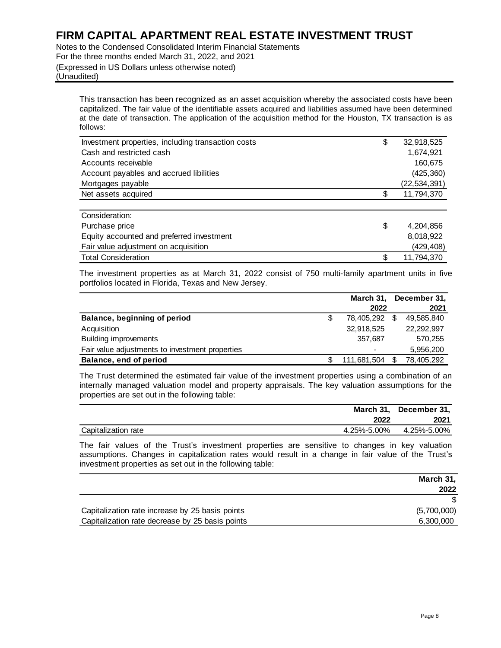Notes to the Condensed Consolidated Interim Financial Statements For the three months ended March 31, 2022, and 2021 (Expressed in US Dollars unless otherwise noted) (Unaudited)

This transaction has been recognized as an asset acquisition whereby the associated costs have been capitalized. The fair value of the identifiable assets acquired and liabilities assumed have been determined at the date of transaction. The application of the acquisition method for the Houston, TX transaction is as follows:

| Investment properties, including transaction costs | \$<br>32,918,525 |
|----------------------------------------------------|------------------|
| Cash and restricted cash                           | 1,674,921        |
| Accounts receivable                                | 160,675          |
| Account payables and accrued libilities            | (425, 360)       |
| Mortgages payable                                  | (22, 534, 391)   |
| Net assets acquired                                | \$<br>11,794,370 |
|                                                    |                  |
| Consideration:                                     |                  |
| Purchase price                                     | \$<br>4,204,856  |
| Equity accounted and preferred investment          | 8,018,922        |
| Fair value adjustment on acquisition               | (429,408)        |
| <b>Total Consideration</b>                         | \$<br>11,794,370 |

The investment properties as at March 31, 2022 consist of 750 multi-family apartment units in five portfolios located in Florida, Texas and New Jersey.

|                                                 | March 31,     |     | December 31, |
|-------------------------------------------------|---------------|-----|--------------|
|                                                 | 2022          |     | 2021         |
| Balance, beginning of period                    | 78.405.292 \$ |     | 49,585,840   |
| Acquisition                                     | 32,918,525    |     | 22,292,997   |
| <b>Building improvements</b>                    | 357.687       |     | 570,255      |
| Fair value adjustments to investment properties |               |     | 5,956,200    |
| Balance, end of period                          | 111,681,504   | \$. | 78,405,292   |

The Trust determined the estimated fair value of the investment properties using a combination of an internally managed valuation model and property appraisals. The key valuation assumptions for the properties are set out in the following table:

|                     |             | March 31, December 31, |
|---------------------|-------------|------------------------|
|                     | 2022        | 2021                   |
| Capitalization rate | 4.25%-5.00% | 4.25%-5.00%            |

The fair values of the Trust's investment properties are sensitive to changes in key valuation assumptions. Changes in capitalization rates would result in a change in fair value of the Trust's investment properties as set out in the following table:

|                                                 | March 31,   |
|-------------------------------------------------|-------------|
|                                                 | 2022        |
|                                                 |             |
| Capitalization rate increase by 25 basis points | (5,700,000) |
| Capitalization rate decrease by 25 basis points | 6,300,000   |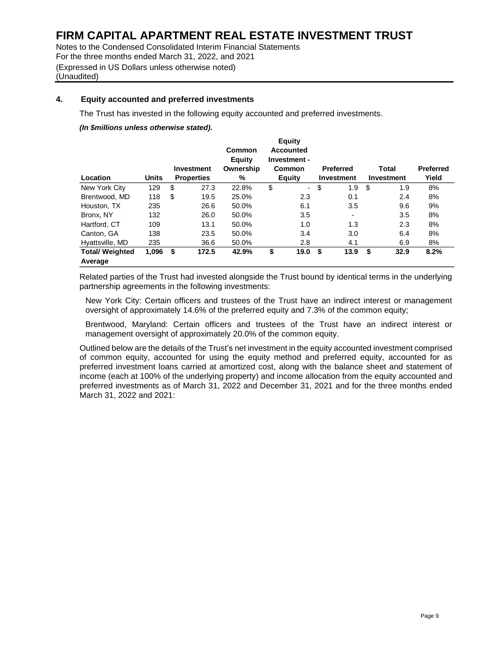Notes to the Condensed Consolidated Interim Financial Statements For the three months ended March 31, 2022, and 2021 (Expressed in US Dollars unless otherwise noted) (Unaudited)

#### **4. Equity accounted and preferred investments**

The Trust has invested in the following equity accounted and preferred investments.

*(In \$millions unless otherwise stated).*

|                        |              |                   | Common              | <b>Equity</b><br><b>Accounted</b> |                  |            |                  |
|------------------------|--------------|-------------------|---------------------|-----------------------------------|------------------|------------|------------------|
|                        |              | Investment        | Equity<br>Ownership | Investment -<br><b>Common</b>     | <b>Preferred</b> | Total      | <b>Preferred</b> |
| Location               | <b>Units</b> | <b>Properties</b> | %                   | Equity                            | Investment       | Investment | Yield            |
| New York City          | 129          | \$<br>27.3        | 22.8%               | \$<br>$\overline{\phantom{a}}$    | \$<br>1.9        | \$<br>1.9  | 8%               |
| Brentwood, MD          | 118          | \$<br>19.5        | 25.0%               | 2.3                               | 0.1              | 2.4        | 8%               |
| Houston, TX            | 235          | 26.6              | 50.0%               | 6.1                               | 3.5              | 9.6        | 9%               |
| Bronx, NY              | 132          | 26.0              | 50.0%               | 3.5                               | ٠                | 3.5        | 8%               |
| Hartford, CT           | 109          | 13.1              | 50.0%               | 1.0                               | 1.3              | 2.3        | 8%               |
| Canton, GA             | 138          | 23.5              | 50.0%               | 3.4                               | 3.0              | 6.4        | 8%               |
| Hyattsville, MD        | 235          | 36.6              | 50.0%               | 2.8                               | 4.1              | 6.9        | 8%               |
| <b>Total/ Weighted</b> | 1,096        | \$<br>172.5       | 42.9%               | \$<br>19.0                        | \$<br>13.9       | \$<br>32.9 | 8.2%             |
| Average                |              |                   |                     |                                   |                  |            |                  |

Related parties of the Trust had invested alongside the Trust bound by identical terms in the underlying partnership agreements in the following investments:

New York City: Certain officers and trustees of the Trust have an indirect interest or management oversight of approximately 14.6% of the preferred equity and 7.3% of the common equity;

Brentwood, Maryland: Certain officers and trustees of the Trust have an indirect interest or management oversight of approximately 20.0% of the common equity.

Outlined below are the details of the Trust's net investment in the equity accounted investment comprised of common equity, accounted for using the equity method and preferred equity, accounted for as preferred investment loans carried at amortized cost, along with the balance sheet and statement of income (each at 100% of the underlying property) and income allocation from the equity accounted and preferred investments as of March 31, 2022 and December 31, 2021 and for the three months ended March 31, 2022 and 2021: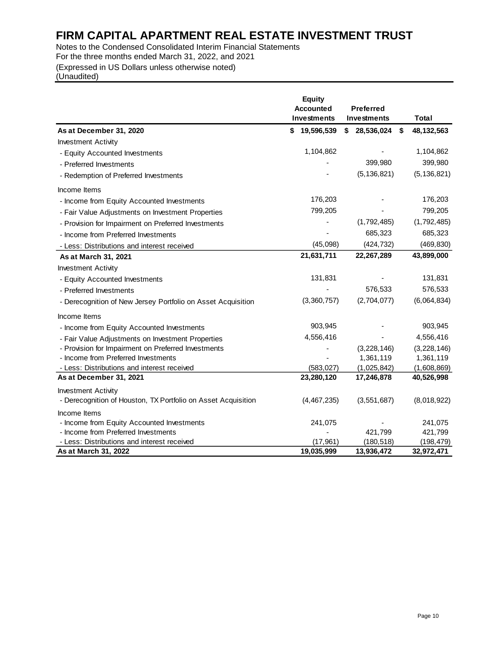Notes to the Condensed Consolidated Interim Financial Statements For the three months ended March 31, 2022, and 2021

(Expressed in US Dollars unless otherwise noted)

(Unaudited)

|                                                               | <b>Equity</b>    |                    |               |
|---------------------------------------------------------------|------------------|--------------------|---------------|
|                                                               | <b>Accounted</b> | <b>Preferred</b>   |               |
|                                                               | Investments      | Investments        | <b>Total</b>  |
| As at December 31, 2020                                       | 19,596,539<br>S  | \$28,536,024<br>\$ | 48, 132, 563  |
| <b>Investment Activity</b>                                    |                  |                    |               |
| - Equity Accounted Investments                                | 1,104,862        |                    | 1,104,862     |
| - Preferred Investments                                       |                  | 399,980            | 399,980       |
| - Redemption of Preferred Investments                         |                  | (5, 136, 821)      | (5, 136, 821) |
| Income Items                                                  |                  |                    |               |
| - Income from Equity Accounted Investments                    | 176,203          |                    | 176,203       |
| - Fair Value Adjustments on Investment Properties             | 799,205          |                    | 799,205       |
| - Provision for Impairment on Preferred Investments           |                  | (1,792,485)        | (1,792,485)   |
| - Income from Preferred Investments                           |                  | 685,323            | 685,323       |
| - Less: Distributions and interest received                   | (45,098)         | (424, 732)         | (469, 830)    |
| As at March 31, 2021                                          | 21,631,711       | 22,267,289         | 43,899,000    |
| <b>Investment Activity</b>                                    |                  |                    |               |
| - Equity Accounted Investments                                | 131,831          |                    | 131,831       |
| - Preferred Investments                                       |                  | 576,533            | 576,533       |
| - Derecognition of New Jersey Portfolio on Asset Acquisition  | (3,360,757)      | (2,704,077)        | (6,064,834)   |
| Income Items                                                  |                  |                    |               |
| - Income from Equity Accounted Investments                    | 903,945          |                    | 903,945       |
| - Fair Value Adjustments on Investment Properties             | 4,556,416        |                    | 4,556,416     |
| - Provision for Impairment on Preferred Investments           |                  | (3, 228, 146)      | (3,228,146)   |
| - Income from Preferred Investments                           |                  | 1,361,119          | 1,361,119     |
| - Less: Distributions and interest received                   | (583, 027)       | (1,025,842)        | (1,608,869)   |
| As at December 31, 2021                                       | 23,280,120       | 17,246,878         | 40,526,998    |
| <b>Investment Activity</b>                                    |                  |                    |               |
| - Derecognition of Houston, TX Portfolio on Asset Acquisition | (4,467,235)      | (3, 551, 687)      | (8,018,922)   |
| Income Items                                                  |                  |                    |               |
| - Income from Equity Accounted Investments                    | 241,075          |                    | 241,075       |
| - Income from Preferred Investments                           |                  | 421,799            | 421,799       |
| - Less: Distributions and interest received                   | (17, 961)        | (180, 518)         | (198, 479)    |
| As at March 31, 2022                                          | 19,035,999       | 13,936,472         | 32,972,471    |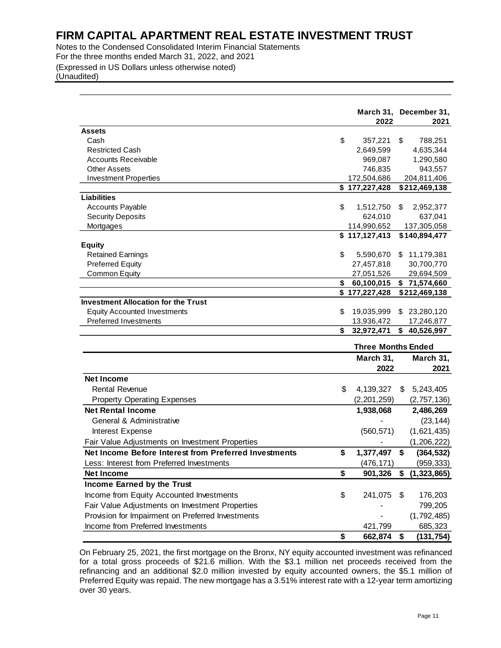Notes to the Condensed Consolidated Interim Financial Statements For the three months ended March 31, 2022, and 2021 (Expressed in US Dollars unless otherwise noted) (Unaudited)

|                                                                                                                                                                                                                                                                                                                                                                                                                                                  | 2022                         | March 31, December 31,<br>2021 |
|--------------------------------------------------------------------------------------------------------------------------------------------------------------------------------------------------------------------------------------------------------------------------------------------------------------------------------------------------------------------------------------------------------------------------------------------------|------------------------------|--------------------------------|
| <b>Assets</b>                                                                                                                                                                                                                                                                                                                                                                                                                                    |                              |                                |
| Cash                                                                                                                                                                                                                                                                                                                                                                                                                                             | \$<br>357,221                | \$<br>788,251                  |
| <b>Restricted Cash</b>                                                                                                                                                                                                                                                                                                                                                                                                                           | 2,649,599                    | 4,635,344                      |
| <b>Accounts Receivable</b>                                                                                                                                                                                                                                                                                                                                                                                                                       | 969,087                      | 1,290,580                      |
| <b>Other Assets</b>                                                                                                                                                                                                                                                                                                                                                                                                                              | 746,835                      | 943,557                        |
| <b>Investment Properties</b>                                                                                                                                                                                                                                                                                                                                                                                                                     | 172,504,686                  | 204,811,406                    |
|                                                                                                                                                                                                                                                                                                                                                                                                                                                  | \$177,227,428                | \$212,469,138                  |
| <b>Liabilities</b>                                                                                                                                                                                                                                                                                                                                                                                                                               |                              |                                |
| <b>Accounts Payable</b>                                                                                                                                                                                                                                                                                                                                                                                                                          | \$<br>1,512,750              | \$<br>2,952,377                |
| <b>Security Deposits</b>                                                                                                                                                                                                                                                                                                                                                                                                                         | 624,010                      | 637,041                        |
| Mortgages                                                                                                                                                                                                                                                                                                                                                                                                                                        | 114,990,652<br>\$117,127,413 | 137,305,058<br>\$140,894,477   |
| <b>Equity</b>                                                                                                                                                                                                                                                                                                                                                                                                                                    |                              |                                |
| <b>Retained Earnings</b>                                                                                                                                                                                                                                                                                                                                                                                                                         | \$<br>5,590,670              | \$<br>11,179,381               |
| <b>Preferred Equity</b>                                                                                                                                                                                                                                                                                                                                                                                                                          | 27,457,818                   | 30,700,770                     |
| Common Equity                                                                                                                                                                                                                                                                                                                                                                                                                                    | 27,051,526                   | 29,694,509                     |
|                                                                                                                                                                                                                                                                                                                                                                                                                                                  | \$<br>60,100,015             | \$71,574,660                   |
|                                                                                                                                                                                                                                                                                                                                                                                                                                                  | \$177,227,428                | \$212,469,138                  |
| <b>Investment Allocation for the Trust</b>                                                                                                                                                                                                                                                                                                                                                                                                       |                              |                                |
| <b>Equity Accounted Investments</b>                                                                                                                                                                                                                                                                                                                                                                                                              | \$<br>19,035,999             | \$ 23,280,120                  |
| <b>Preferred Investments</b>                                                                                                                                                                                                                                                                                                                                                                                                                     | 13,936,472                   | 17,246,877                     |
|                                                                                                                                                                                                                                                                                                                                                                                                                                                  | \$<br>32,972,471             | 40,526,997                     |
|                                                                                                                                                                                                                                                                                                                                                                                                                                                  | <b>Three Months Ended</b>    |                                |
|                                                                                                                                                                                                                                                                                                                                                                                                                                                  | March 31,                    | March 31,                      |
|                                                                                                                                                                                                                                                                                                                                                                                                                                                  | 2022                         | 2021                           |
| <b>Net Income</b>                                                                                                                                                                                                                                                                                                                                                                                                                                |                              |                                |
| <b>Rental Revenue</b>                                                                                                                                                                                                                                                                                                                                                                                                                            | \$<br>4,139,327              | \$<br>5,243,405                |
| <b>Property Operating Expenses</b>                                                                                                                                                                                                                                                                                                                                                                                                               | (2, 201, 259)                | (2,757,136)                    |
| <b>Net Rental Income</b>                                                                                                                                                                                                                                                                                                                                                                                                                         | 1,938,068                    | 2,486,269                      |
| General & Administrative                                                                                                                                                                                                                                                                                                                                                                                                                         |                              | (23, 144)                      |
| Interest Expense                                                                                                                                                                                                                                                                                                                                                                                                                                 | (560, 571)                   | (1,621,435)                    |
| Fair Value Adjustments on Investment Properties                                                                                                                                                                                                                                                                                                                                                                                                  |                              | (1, 206, 222)                  |
| Net Income Before Interest from Preferred Investments                                                                                                                                                                                                                                                                                                                                                                                            | \$<br>1,377,497              | \$<br>(364, 532)               |
| Less: Interest from Preferred Investments                                                                                                                                                                                                                                                                                                                                                                                                        | (476, 171)                   | (959, 333)                     |
|                                                                                                                                                                                                                                                                                                                                                                                                                                                  |                              | 901,326 \$ (1,323,865)         |
| <b>Net Income</b>                                                                                                                                                                                                                                                                                                                                                                                                                                | \$                           |                                |
| Income Earned by the Trust                                                                                                                                                                                                                                                                                                                                                                                                                       |                              |                                |
| Income from Equity Accounted Investments                                                                                                                                                                                                                                                                                                                                                                                                         | \$<br>241,075                | \$<br>176,203                  |
| Fair Value Adjustments on Investment Properties                                                                                                                                                                                                                                                                                                                                                                                                  |                              | 799,205                        |
| Provision for Impairment on Preferred Investments                                                                                                                                                                                                                                                                                                                                                                                                |                              | (1,792,485)                    |
| Income from Preferred Investments                                                                                                                                                                                                                                                                                                                                                                                                                | 421,799                      | 685,323                        |
|                                                                                                                                                                                                                                                                                                                                                                                                                                                  | \$<br>662,874                | \$<br>(131, 754)               |
| On February 25, 2021, the first mortgage on the Bronx, NY equity accounted investment was refinanced<br>for a total gross proceeds of \$21.6 million. With the \$3.1 million net proceeds received from the<br>refinancing and an additional \$2.0 million invested by equity accounted owners, the \$5.1 million of<br>Preferred Equity was repaid. The new mortgage has a 3.51% interest rate with a 12-year term amortizing<br>over 30 years. |                              |                                |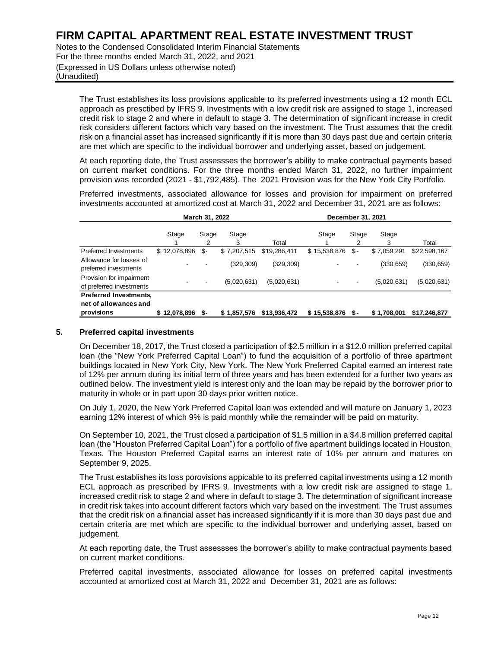Notes to the Condensed Consolidated Interim Financial Statements For the three months ended March 31, 2022, and 2021 (Expressed in US Dollars unless otherwise noted) (Unaudited)

The Trust establishes its loss provisions applicable to its preferred investments using a 12 month ECL approach as presctibed by IFRS 9. Investments with a low credit risk are assigned to stage 1, increased credit risk to stage 2 and where in default to stage 3. The determination of significant increase in credit risk considers different factors which vary based on the investment. The Trust assumes that the credit risk on a financial asset has increased significantly if it is more than 30 days past due and certain criteria are met which are specific to the individual borrower and underlying asset, based on judgement.

At each reporting date, the Trust assessses the borrower's ability to make contractual payments based on current market conditions. For the three months ended March 31, 2022, no further impairment provision was recorded (2021 - \$1,792,485). The 2021 Provision was for the New York City Portfolio.

Preferred investments, associated allowance for losses and provision for impairment on preferred investments accounted at amortized cost at March 31, 2022 and December 31, 2021 are as follows:

|                                                                      |              | March 31, 2022 |             |              | December 31, 2021 |            |             |              |
|----------------------------------------------------------------------|--------------|----------------|-------------|--------------|-------------------|------------|-------------|--------------|
|                                                                      | Stage        | Stage<br>2     | Stage<br>3  | Total        | Stage             | Stage<br>2 | Stage<br>3  | Total        |
| <b>Preferred Investments</b>                                         | \$12,078,896 | \$-            | \$7,207,515 | \$19,286,411 | \$15,538,876      | \$-        | \$7,059,291 | \$22,598,167 |
| Allowance for losses of<br>preferred investments                     |              |                | (329, 309)  | (329, 309)   |                   |            | (330, 659)  | (330, 659)   |
| Provision for impairment<br>of preferred investments                 |              |                | (5,020,631) | (5,020,631)  |                   |            | (5,020,631) | (5,020,631)  |
| <b>Preferred Investments,</b><br>net of allowances and<br>provisions | \$12,078,896 | \$-            | \$1,857,576 | \$13,936,472 | \$15,538,876      | S –        | \$1,708,001 | \$17,246,877 |

#### **5. Preferred capital investments**

On December 18, 2017, the Trust closed a participation of \$2.5 million in a \$12.0 million preferred capital loan (the "New York Preferred Capital Loan") to fund the acquisition of a portfolio of three apartment buildings located in New York City, New York. The New York Preferred Capital earned an interest rate of 12% per annum during its initial term of three years and has been extended for a further two years as outlined below. The investment yield is interest only and the loan may be repaid by the borrower prior to maturity in whole or in part upon 30 days prior written notice.

On July 1, 2020, the New York Preferred Capital loan was extended and will mature on January 1, 2023 earning 12% interest of which 9% is paid monthly while the remainder will be paid on maturity.

On September 10, 2021, the Trust closed a participation of \$1.5 million in a \$4.8 million preferred capital loan (the "Houston Preferred Capital Loan") for a portfolio of five apartment buildings located in Houston, Texas. The Houston Preferred Capital earns an interest rate of 10% per annum and matures on September 9, 2025.

The Trust establishes its loss porovisions appicable to its preferred capital investments using a 12 month ECL approach as prescribed by IFRS 9. Investments with a low credit risk are assigned to stage 1, increased credit risk to stage 2 and where in default to stage 3. The determination of significant increase in credit risk takes into account different factors which vary based on the investment. The Trust assumes that the credit risk on a financial asset has increased significantly if it is more than 30 days past due and certain criteria are met which are specific to the individual borrower and underlying asset, based on judgement.

At each reporting date, the Trust assessses the borrower's ability to make contractual payments based on current market conditions.

Preferred capital investments, associated allowance for losses on preferred capital investments accounted at amortized cost at March 31, 2022 and December 31, 2021 are as follows: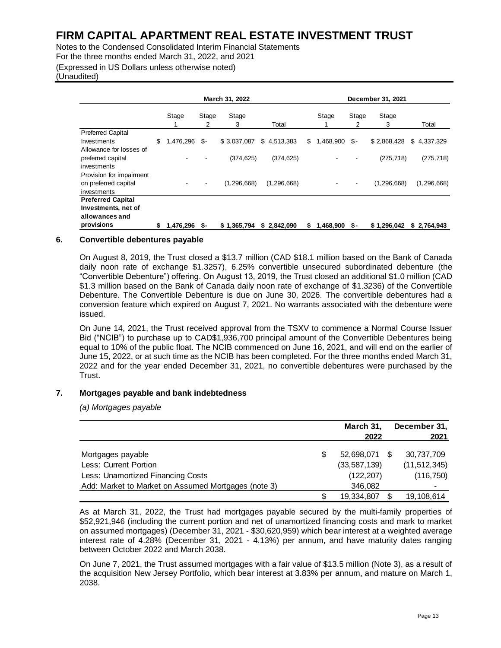Notes to the Condensed Consolidated Interim Financial Statements For the three months ended March 31, 2022, and 2021 (Expressed in US Dollars unless otherwise noted) (Unaudited)

|                                                                                 | March 31, 2022  |            |               |               | December 31, 2021 |            |               |               |  |  |  |
|---------------------------------------------------------------------------------|-----------------|------------|---------------|---------------|-------------------|------------|---------------|---------------|--|--|--|
|                                                                                 | Stage           | Stage<br>2 | Stage<br>3    | Total         | Stage             | Stage<br>2 | Stage<br>3    | Total         |  |  |  |
| <b>Preferred Capital</b><br>Investments<br>Allowance for losses of              | \$<br>1,476,296 | \$-        | \$3,037,087   | \$4,513,383   | \$<br>1,468,900   | \$-        | \$2,868,428   | \$4,337,329   |  |  |  |
| preferred capital<br>investments                                                |                 |            | (374, 625)    | (374, 625)    |                   |            | (275, 718)    | (275, 718)    |  |  |  |
| Provision for impairment<br>on preferred capital<br>investments                 |                 |            | (1, 296, 668) | (1, 296, 668) |                   |            | (1, 296, 668) | (1, 296, 668) |  |  |  |
| <b>Preferred Capital</b><br>Investments, net of<br>allowances and<br>provisions | \$<br>1.476.296 | -S         | \$1,365,794   | \$2,842,090   | \$<br>1,468,900   | - S        | \$1,296,042   | \$2,764,943   |  |  |  |

#### **6. Convertible debentures payable**

On August 8, 2019, the Trust closed a \$13.7 million (CAD \$18.1 million based on the Bank of Canada daily noon rate of exchange \$1.3257), 6.25% convertible unsecured subordinated debenture (the "Convertible Debenture") offering. On August 13, 2019, the Trust closed an additional \$1.0 million (CAD \$1.3 million based on the Bank of Canada daily noon rate of exchange of \$1.3236) of the Convertible Debenture. The Convertible Debenture is due on June 30, 2026. The convertible debentures had a conversion feature which expired on August 7, 2021. No warrants associated with the debenture were issued.

On June 14, 2021, the Trust received approval from the TSXV to commence a Normal Course Issuer Bid ("NCIB") to purchase up to CAD\$1,936,700 principal amount of the Convertible Debentures being equal to 10% of the public float. The NCIB commenced on June 16, 2021, and will end on the earlier of June 15, 2022, or at such time as the NCIB has been completed. For the three months ended March 31, 2022 and for the year ended December 31, 2021, no convertible debentures were purchased by the Trust.

#### **7. Mortgages payable and bank indebtedness**

*(a) Mortgages payable* 

|                                                     | March 31,<br>2022 | December 31, | 2021           |
|-----------------------------------------------------|-------------------|--------------|----------------|
| Mortgages payable                                   | 52,698,071        | \$.          | 30,737,709     |
| Less: Current Portion                               | (33,587,139)      |              | (11, 512, 345) |
| Less: Unamortized Financing Costs                   | (122, 207)        |              | (116, 750)     |
| Add: Market to Market on Assumed Mortgages (note 3) | 346,082           |              |                |
|                                                     | 19,334,807        |              | 19,108,614     |

As at March 31, 2022, the Trust had mortgages payable secured by the multi-family properties of \$52,921,946 (including the current portion and net of unamortized financing costs and mark to market on assumed mortgages) (December 31, 2021 - \$30,620,959) which bear interest at a weighted average interest rate of 4.28% (December 31, 2021 - 4.13%) per annum, and have maturity dates ranging between October 2022 and March 2038.

On June 7, 2021, the Trust assumed mortgages with a fair value of \$13.5 million (Note 3), as a result of the acquisition New Jersey Portfolio, which bear interest at 3.83% per annum, and mature on March 1, 2038.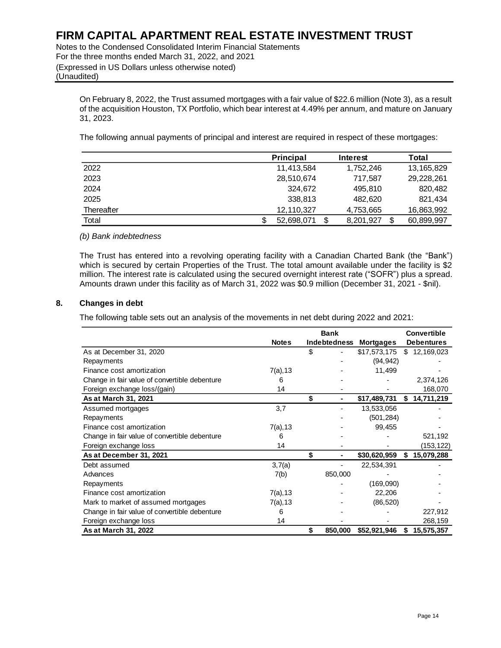Notes to the Condensed Consolidated Interim Financial Statements For the three months ended March 31, 2022, and 2021 (Expressed in US Dollars unless otherwise noted) (Unaudited)

On February 8, 2022, the Trust assumed mortgages with a fair value of \$22.6 million (Note 3), as a result of the acquisition Houston, TX Portfolio, which bear interest at 4.49% per annum, and mature on January 31, 2023.

The following annual payments of principal and interest are required in respect of these mortgages:

|            | <b>Principal</b> | Interest  | Total      |
|------------|------------------|-----------|------------|
| 2022       | 11,413,584       | 1,752,246 | 13,165,829 |
| 2023       | 28,510,674       | 717.587   | 29,228,261 |
| 2024       | 324.672          | 495,810   | 820,482    |
| 2025       | 338,813          | 482.620   | 821.434    |
| Thereafter | 12,110,327       | 4,753,665 | 16,863,992 |
| Total      | 52,698,071       | 8,201,927 | 60,899,997 |

#### *(b) Bank indebtedness*

The Trust has entered into a revolving operating facility with a Canadian Charted Bank (the "Bank") which is secured by certain Properties of the Trust. The total amount available under the facility is \$2 million. The interest rate is calculated using the secured overnight interest rate ("SOFR") plus a spread. Amounts drawn under this facility as of March 31, 2022 was \$0.9 million (December 31, 2021 - \$nil).

#### **8. Changes in debt**

The following table sets out an analysis of the movements in net debt during 2022 and 2021:

|                                               |              | <b>Bank</b>   |                  |    | <b>Convertible</b> |
|-----------------------------------------------|--------------|---------------|------------------|----|--------------------|
|                                               | <b>Notes</b> | Indebtedness  | <b>Mortgages</b> |    | <b>Debentures</b>  |
| As at December 31, 2020                       |              | \$            | \$17,573,175     |    | \$12,169,023       |
| Repayments                                    |              |               | (94, 942)        |    |                    |
| Finance cost amortization                     | $7(a)$ , 13  |               | 11,499           |    |                    |
| Change in fair value of convertible debenture | 6            |               |                  |    | 2,374,126          |
| Foreign exchange loss/(gain)                  | 14           |               |                  |    | 168,070            |
| As at March 31, 2021                          |              | \$            | \$17,489,731     | \$ | 14,711,219         |
| Assumed mortgages                             | 3,7          |               | 13,533,056       |    |                    |
| Repayments                                    |              |               | (501, 284)       |    |                    |
| Finance cost amortization                     | $7(a)$ , 13  |               | 99,455           |    |                    |
| Change in fair value of convertible debenture | 6            |               |                  |    | 521,192            |
| Foreign exchange loss                         | 14           |               |                  |    | (153,122)          |
| As at December 31, 2021                       |              | \$<br>٠       | \$30,620,959     | \$ | 15,079,288         |
| Debt assumed                                  | 3,7(a)       |               | 22,534,391       |    |                    |
| Advances                                      | 7(b)         | 850,000       |                  |    |                    |
| Repayments                                    |              |               | (169,090)        |    |                    |
| Finance cost amortization                     | 7(a), 13     |               | 22,206           |    |                    |
| Mark to market of assumed mortgages           | 7(a), 13     |               | (86, 520)        |    |                    |
| Change in fair value of convertible debenture | 6            |               |                  |    | 227,912            |
| Foreign exchange loss                         | 14           |               |                  |    | 268,159            |
| As at March 31, 2022                          |              | \$<br>850,000 | \$52,921,946     | S  | 15,575,357         |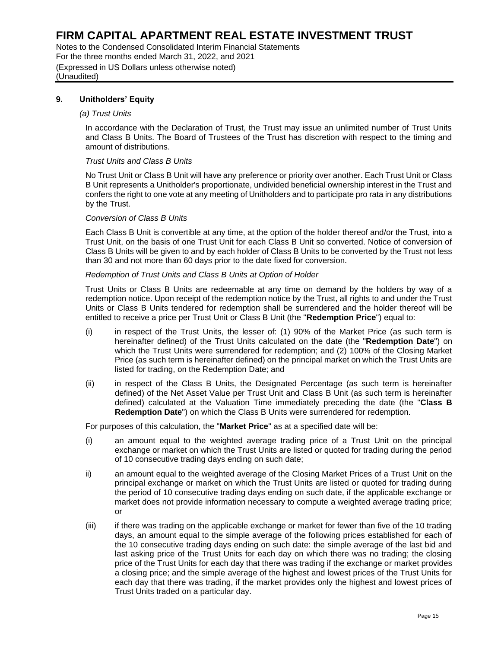Notes to the Condensed Consolidated Interim Financial Statements For the three months ended March 31, 2022, and 2021 (Expressed in US Dollars unless otherwise noted) (Unaudited)

#### **9. Unitholders' Equity**

#### *(a) Trust Units*

In accordance with the Declaration of Trust, the Trust may issue an unlimited number of Trust Units and Class B Units. The Board of Trustees of the Trust has discretion with respect to the timing and amount of distributions.

#### *Trust Units and Class B Units*

No Trust Unit or Class B Unit will have any preference or priority over another. Each Trust Unit or Class B Unit represents a Unitholder's proportionate, undivided beneficial ownership interest in the Trust and confers the right to one vote at any meeting of Unitholders and to participate pro rata in any distributions by the Trust.

#### *Conversion of Class B Units*

Each Class B Unit is convertible at any time, at the option of the holder thereof and/or the Trust, into a Trust Unit, on the basis of one Trust Unit for each Class B Unit so converted. Notice of conversion of Class B Units will be given to and by each holder of Class B Units to be converted by the Trust not less than 30 and not more than 60 days prior to the date fixed for conversion.

#### *Redemption of Trust Units and Class B Units at Option of Holder*

Trust Units or Class B Units are redeemable at any time on demand by the holders by way of a redemption notice. Upon receipt of the redemption notice by the Trust, all rights to and under the Trust Units or Class B Units tendered for redemption shall be surrendered and the holder thereof will be entitled to receive a price per Trust Unit or Class B Unit (the "**Redemption Price**") equal to:

- (i) in respect of the Trust Units, the lesser of: (1) 90% of the Market Price (as such term is hereinafter defined) of the Trust Units calculated on the date (the "**Redemption Date**") on which the Trust Units were surrendered for redemption; and (2) 100% of the Closing Market Price (as such term is hereinafter defined) on the principal market on which the Trust Units are listed for trading, on the Redemption Date; and
- (ii) in respect of the Class B Units, the Designated Percentage (as such term is hereinafter defined) of the Net Asset Value per Trust Unit and Class B Unit (as such term is hereinafter defined) calculated at the Valuation Time immediately preceding the date (the "**Class B Redemption Date**") on which the Class B Units were surrendered for redemption.

For purposes of this calculation, the "**Market Price**" as at a specified date will be:

- (i) an amount equal to the weighted average trading price of a Trust Unit on the principal exchange or market on which the Trust Units are listed or quoted for trading during the period of 10 consecutive trading days ending on such date;
- ii) an amount equal to the weighted average of the Closing Market Prices of a Trust Unit on the principal exchange or market on which the Trust Units are listed or quoted for trading during the period of 10 consecutive trading days ending on such date, if the applicable exchange or market does not provide information necessary to compute a weighted average trading price; or
- (iii) if there was trading on the applicable exchange or market for fewer than five of the 10 trading days, an amount equal to the simple average of the following prices established for each of the 10 consecutive trading days ending on such date: the simple average of the last bid and last asking price of the Trust Units for each day on which there was no trading; the closing price of the Trust Units for each day that there was trading if the exchange or market provides a closing price; and the simple average of the highest and lowest prices of the Trust Units for each day that there was trading, if the market provides only the highest and lowest prices of Trust Units traded on a particular day.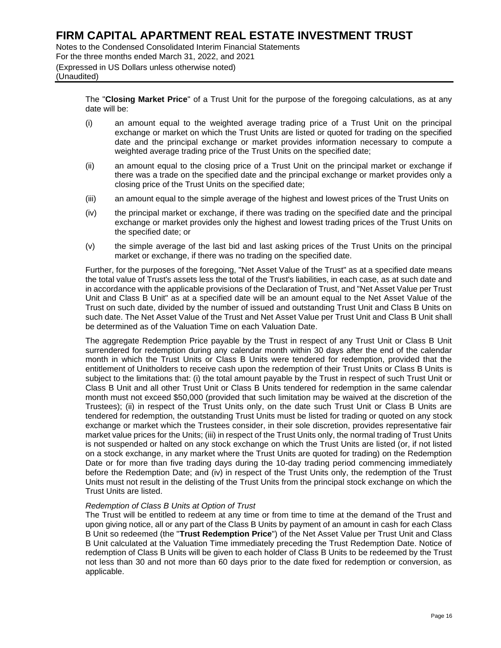Notes to the Condensed Consolidated Interim Financial Statements For the three months ended March 31, 2022, and 2021 (Expressed in US Dollars unless otherwise noted) (Unaudited)

> The "**Closing Market Price**" of a Trust Unit for the purpose of the foregoing calculations, as at any date will be:

- (i) an amount equal to the weighted average trading price of a Trust Unit on the principal exchange or market on which the Trust Units are listed or quoted for trading on the specified date and the principal exchange or market provides information necessary to compute a weighted average trading price of the Trust Units on the specified date;
- (ii) an amount equal to the closing price of a Trust Unit on the principal market or exchange if there was a trade on the specified date and the principal exchange or market provides only a closing price of the Trust Units on the specified date;
- (iii) an amount equal to the simple average of the highest and lowest prices of the Trust Units on
- (iv) the principal market or exchange, if there was trading on the specified date and the principal exchange or market provides only the highest and lowest trading prices of the Trust Units on the specified date; or
- (v) the simple average of the last bid and last asking prices of the Trust Units on the principal market or exchange, if there was no trading on the specified date.

Further, for the purposes of the foregoing, "Net Asset Value of the Trust" as at a specified date means the total value of Trust's assets less the total of the Trust's liabilities, in each case, as at such date and in accordance with the applicable provisions of the Declaration of Trust, and "Net Asset Value per Trust Unit and Class B Unit" as at a specified date will be an amount equal to the Net Asset Value of the Trust on such date, divided by the number of issued and outstanding Trust Unit and Class B Units on such date. The Net Asset Value of the Trust and Net Asset Value per Trust Unit and Class B Unit shall be determined as of the Valuation Time on each Valuation Date.

The aggregate Redemption Price payable by the Trust in respect of any Trust Unit or Class B Unit surrendered for redemption during any calendar month within 30 days after the end of the calendar month in which the Trust Units or Class B Units were tendered for redemption, provided that the entitlement of Unitholders to receive cash upon the redemption of their Trust Units or Class B Units is subject to the limitations that: (i) the total amount payable by the Trust in respect of such Trust Unit or Class B Unit and all other Trust Unit or Class B Units tendered for redemption in the same calendar month must not exceed \$50,000 (provided that such limitation may be waived at the discretion of the Trustees); (ii) in respect of the Trust Units only, on the date such Trust Unit or Class B Units are tendered for redemption, the outstanding Trust Units must be listed for trading or quoted on any stock exchange or market which the Trustees consider, in their sole discretion, provides representative fair market value prices for the Units; (iii) in respect of the Trust Units only, the normal trading of Trust Units is not suspended or halted on any stock exchange on which the Trust Units are listed (or, if not listed on a stock exchange, in any market where the Trust Units are quoted for trading) on the Redemption Date or for more than five trading days during the 10-day trading period commencing immediately before the Redemption Date; and (iv) in respect of the Trust Units only, the redemption of the Trust Units must not result in the delisting of the Trust Units from the principal stock exchange on which the Trust Units are listed.

#### *Redemption of Class B Units at Option of Trust*

The Trust will be entitled to redeem at any time or from time to time at the demand of the Trust and upon giving notice, all or any part of the Class B Units by payment of an amount in cash for each Class B Unit so redeemed (the "**Trust Redemption Price**") of the Net Asset Value per Trust Unit and Class B Unit calculated at the Valuation Time immediately preceding the Trust Redemption Date. Notice of redemption of Class B Units will be given to each holder of Class B Units to be redeemed by the Trust not less than 30 and not more than 60 days prior to the date fixed for redemption or conversion, as applicable.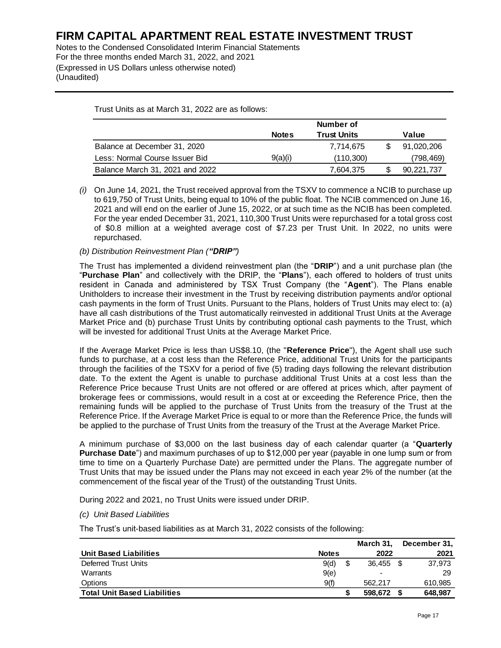Notes to the Condensed Consolidated Interim Financial Statements For the three months ended March 31, 2022, and 2021 (Expressed in US Dollars unless otherwise noted) (Unaudited)

Trust Units as at March 31, 2022 are as follows:

|                                 |              | Number of |  |            |
|---------------------------------|--------------|-----------|--|------------|
|                                 | <b>Notes</b> | Value     |  |            |
| Balance at December 31, 2020    |              | 7,714,675 |  | 91,020,206 |
| Less: Normal Course Issuer Bid  | 9(a)(i)      | (110.300) |  | (798,469)  |
| Balance March 31, 2021 and 2022 |              | 7.604.375 |  | 90,221,737 |

*(i)* On June 14, 2021, the Trust received approval from the TSXV to commence a NCIB to purchase up to 619,750 of Trust Units, being equal to 10% of the public float. The NCIB commenced on June 16, 2021 and will end on the earlier of June 15, 2022, or at such time as the NCIB has been completed. For the year ended December 31, 2021, 110,300 Trust Units were repurchased for a total gross cost of \$0.8 million at a weighted average cost of \$7.23 per Trust Unit. In 2022, no units were repurchased.

#### *(b) Distribution Reinvestment Plan ("DRIP")*

The Trust has implemented a dividend reinvestment plan (the "**DRIP**") and a unit purchase plan (the "**Purchase Plan**" and collectively with the DRIP, the "**Plans**"), each offered to holders of trust units resident in Canada and administered by TSX Trust Company (the "**Agent**"). The Plans enable Unitholders to increase their investment in the Trust by receiving distribution payments and/or optional cash payments in the form of Trust Units. Pursuant to the Plans, holders of Trust Units may elect to: (a) have all cash distributions of the Trust automatically reinvested in additional Trust Units at the Average Market Price and (b) purchase Trust Units by contributing optional cash payments to the Trust, which will be invested for additional Trust Units at the Average Market Price.

If the Average Market Price is less than US\$8.10, (the "**Reference Price**"), the Agent shall use such funds to purchase, at a cost less than the Reference Price, additional Trust Units for the participants through the facilities of the TSXV for a period of five (5) trading days following the relevant distribution date. To the extent the Agent is unable to purchase additional Trust Units at a cost less than the Reference Price because Trust Units are not offered or are offered at prices which, after payment of brokerage fees or commissions, would result in a cost at or exceeding the Reference Price, then the remaining funds will be applied to the purchase of Trust Units from the treasury of the Trust at the Reference Price. If the Average Market Price is equal to or more than the Reference Price, the funds will be applied to the purchase of Trust Units from the treasury of the Trust at the Average Market Price.

A minimum purchase of \$3,000 on the last business day of each calendar quarter (a "**Quarterly Purchase Date**") and maximum purchases of up to \$12,000 per year (payable in one lump sum or from time to time on a Quarterly Purchase Date) are permitted under the Plans. The aggregate number of Trust Units that may be issued under the Plans may not exceed in each year 2% of the number (at the commencement of the fiscal year of the Trust) of the outstanding Trust Units.

During 2022 and 2021, no Trust Units were issued under DRIP.

#### *(c) Unit Based Liabilities*

The Trust's unit-based liabilities as at March 31, 2022 consists of the following:

|                                     |              | March 31.                | December 31, |
|-------------------------------------|--------------|--------------------------|--------------|
| <b>Unit Based Liabilities</b>       | <b>Notes</b> | 2022                     | 2021         |
| Deferred Trust Units                | 9(d)         | 36.455 \$                | 37.973       |
| Warrants                            | 9(e)         | $\overline{\phantom{0}}$ | 29           |
| Options                             | 9(f)         | 562.217                  | 610,985      |
| <b>Total Unit Based Liabilities</b> |              | 598.672                  | 648,987      |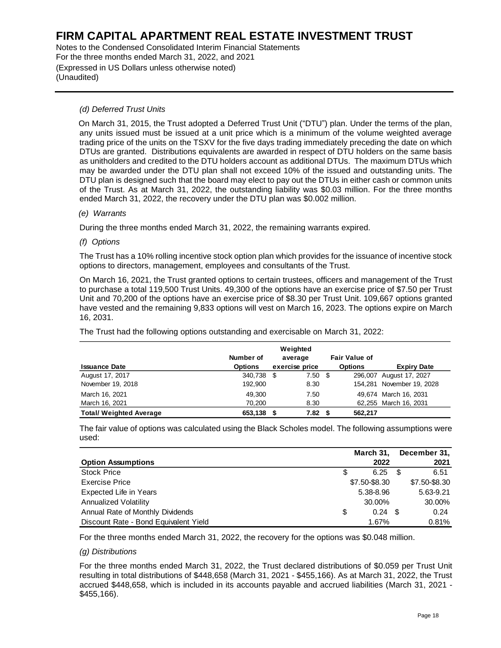Notes to the Condensed Consolidated Interim Financial Statements For the three months ended March 31, 2022, and 2021 (Expressed in US Dollars unless otherwise noted) (Unaudited)

#### *(d) Deferred Trust Units*

 On March 31, 2015, the Trust adopted a Deferred Trust Unit ("DTU") plan. Under the terms of the plan, any units issued must be issued at a unit price which is a minimum of the volume weighted average trading price of the units on the TSXV for the five days trading immediately preceding the date on which DTUs are granted. Distributions equivalents are awarded in respect of DTU holders on the same basis as unitholders and credited to the DTU holders account as additional DTUs. The maximum DTUs which may be awarded under the DTU plan shall not exceed 10% of the issued and outstanding units. The DTU plan is designed such that the board may elect to pay out the DTUs in either cash or common units of the Trust. As at March 31, 2022, the outstanding liability was \$0.03 million. For the three months ended March 31, 2022, the recovery under the DTU plan was \$0.002 million.

#### *(e) Warrants*

During the three months ended March 31, 2022, the remaining warrants expired.

#### *(f) Options*

The Trust has a 10% rolling incentive stock option plan which provides for the issuance of incentive stock options to directors, management, employees and consultants of the Trust.

On March 16, 2021, the Trust granted options to certain trustees, officers and management of the Trust to purchase a total 119,500 Trust Units. 49,300 of the options have an exercise price of \$7.50 per Trust Unit and 70,200 of the options have an exercise price of \$8.30 per Trust Unit. 109,667 options granted have vested and the remaining 9,833 options will vest on March 16, 2023. The options expire on March 16, 2031.

The Trust had the following options outstanding and exercisable on March 31, 2022:

|                                |                |   | Weighted          |                      |                           |
|--------------------------------|----------------|---|-------------------|----------------------|---------------------------|
|                                | Number of      |   | average           | <b>Fair Value of</b> |                           |
| <b>Issuance Date</b>           | <b>Options</b> |   | exercise price    | <b>Options</b>       | <b>Expiry Date</b>        |
| August 17, 2017                | 340.738        | S | 7.50 <sup>°</sup> |                      | 296,007 August 17, 2027   |
| November 19, 2018              | 192.900        |   | 8.30              |                      | 154,281 November 19, 2028 |
| March 16, 2021                 | 49.300         |   | 7.50              |                      | 49.674 March 16, 2031     |
| March 16, 2021                 | 70,200         |   | 8.30              |                      | 62,255 March 16, 2031     |
| <b>Total/ Weighted Average</b> | 653,138        |   | 7.82              | 562.217              |                           |

The fair value of options was calculated using the Black Scholes model. The following assumptions were used:

|                                       |   | March 31,     | December 31,  |
|---------------------------------------|---|---------------|---------------|
| <b>Option Assumptions</b>             |   | 2022          | 2021          |
| <b>Stock Price</b>                    | S | 6.25          | 6.51          |
| <b>Exercise Price</b>                 |   | \$7.50-\$8.30 | \$7.50-\$8.30 |
| <b>Expected Life in Years</b>         |   | 5.38-8.96     | 5.63-9.21     |
| <b>Annualized Volatility</b>          |   | 30.00%        | 30.00%        |
| Annual Rate of Monthly Dividends      | S | 0.24          | 0.24          |
| Discount Rate - Bond Equivalent Yield |   | 1.67%         | 0.81%         |

For the three months ended March 31, 2022, the recovery for the options was \$0.048 million.

#### *(g) Distributions*

For the three months ended March 31, 2022, the Trust declared distributions of \$0.059 per Trust Unit resulting in total distributions of \$448,658 (March 31, 2021 - \$455,166). As at March 31, 2022, the Trust accrued \$448,658, which is included in its accounts payable and accrued liabilities (March 31, 2021 - \$455,166).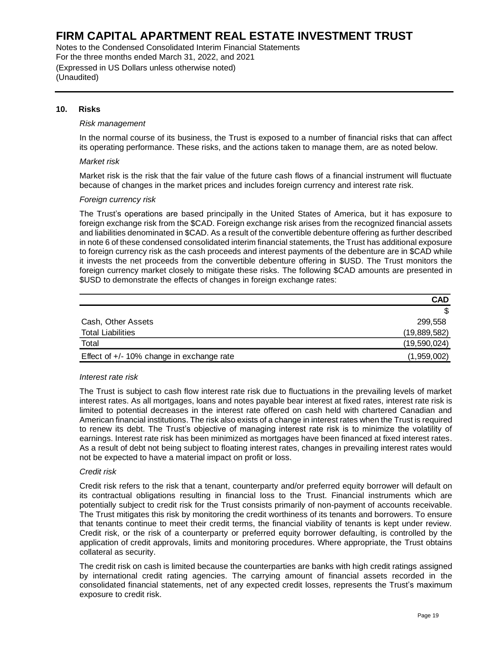Notes to the Condensed Consolidated Interim Financial Statements For the three months ended March 31, 2022, and 2021 (Expressed in US Dollars unless otherwise noted) (Unaudited)

#### **10. Risks**

#### *Risk management*

In the normal course of its business, the Trust is exposed to a number of financial risks that can affect its operating performance. These risks, and the actions taken to manage them, are as noted below.

#### *Market risk*

Market risk is the risk that the fair value of the future cash flows of a financial instrument will fluctuate because of changes in the market prices and includes foreign currency and interest rate risk.

#### *Foreign currency risk*

The Trust's operations are based principally in the United States of America, but it has exposure to foreign exchange risk from the \$CAD. Foreign exchange risk arises from the recognized financial assets and liabilities denominated in \$CAD. As a result of the convertible debenture offering as further described in note 6 of these condensed consolidated interim financial statements, the Trust has additional exposure to foreign currency risk as the cash proceeds and interest payments of the debenture are in \$CAD while it invests the net proceeds from the convertible debenture offering in \$USD. The Trust monitors the foreign currency market closely to mitigate these risks. The following \$CAD amounts are presented in \$USD to demonstrate the effects of changes in foreign exchange rates:

|                                             | <b>CAD</b>   |
|---------------------------------------------|--------------|
|                                             |              |
| Cash, Other Assets                          | 299,558      |
| <b>Total Liabilities</b>                    | (19,889,582) |
| Total                                       | (19,590,024) |
| Effect of $+/-$ 10% change in exchange rate | (1,959,002)  |

#### *Interest rate risk*

The Trust is subject to cash flow interest rate risk due to fluctuations in the prevailing levels of market interest rates. As all mortgages, loans and notes payable bear interest at fixed rates, interest rate risk is limited to potential decreases in the interest rate offered on cash held with chartered Canadian and American financial institutions. The risk also exists of a change in interest rates when the Trust is required to renew its debt. The Trust's objective of managing interest rate risk is to minimize the volatility of earnings. Interest rate risk has been minimized as mortgages have been financed at fixed interest rates. As a result of debt not being subject to floating interest rates, changes in prevailing interest rates would not be expected to have a material impact on profit or loss.

#### *Credit risk*

Credit risk refers to the risk that a tenant, counterparty and/or preferred equity borrower will default on its contractual obligations resulting in financial loss to the Trust. Financial instruments which are potentially subject to credit risk for the Trust consists primarily of non-payment of accounts receivable. The Trust mitigates this risk by monitoring the credit worthiness of its tenants and borrowers. To ensure that tenants continue to meet their credit terms, the financial viability of tenants is kept under review. Credit risk, or the risk of a counterparty or preferred equity borrower defaulting, is controlled by the application of credit approvals, limits and monitoring procedures. Where appropriate, the Trust obtains collateral as security. Cash, Other Assets<br>
Total Liabilities<br>
(9.88 Cash Coverage in exchange rate<br>
(9.8885,692)<br>
Effect of  $+\sqrt{10\%}$  change in exchange rate<br>
(9.989,692)<br>
Interest rate risk<br>
The Trust is subject to cash flow interest rate risk

The credit risk on cash is limited because the counterparties are banks with high credit ratings assigned by international credit rating agencies. The carrying amount of financial assets recorded in the consolidated financial statements, net of any expected credit losses, represents the Trust's maximum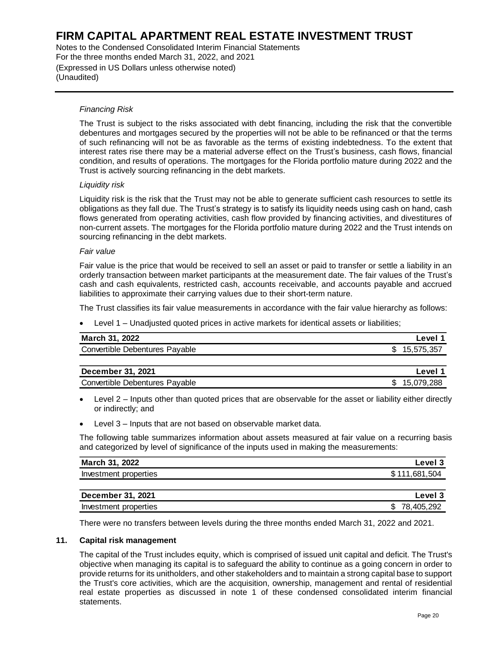Notes to the Condensed Consolidated Interim Financial Statements For the three months ended March 31, 2022, and 2021 (Expressed in US Dollars unless otherwise noted) (Unaudited)

#### *Financing Risk*

The Trust is subject to the risks associated with debt financing, including the risk that the convertible debentures and mortgages secured by the properties will not be able to be refinanced or that the terms of such refinancing will not be as favorable as the terms of existing indebtedness. To the extent that interest rates rise there may be a material adverse effect on the Trust's business, cash flows, financial condition, and results of operations. The mortgages for the Florida portfolio mature during 2022 and the Trust is actively sourcing refinancing in the debt markets.

#### *Liquidity risk*

Liquidity risk is the risk that the Trust may not be able to generate sufficient cash resources to settle its obligations as they fall due. The Trust's strategy is to satisfy its liquidity needs using cash on hand, cash flows generated from operating activities, cash flow provided by financing activities, and divestitures of non-current assets. The mortgages for the Florida portfolio mature during 2022 and the Trust intends on sourcing refinancing in the debt markets.

#### *Fair value*

Fair value is the price that would be received to sell an asset or paid to transfer or settle a liability in an orderly transaction between market participants at the measurement date. The fair values of the Trust's cash and cash equivalents, restricted cash, accounts receivable, and accounts payable and accrued liabilities to approximate their carrying values due to their short-term nature.

The Trust classifies its fair value measurements in accordance with the fair value hierarchy as follows:

• Level 1 – Unadjusted quoted prices in active markets for identical assets or liabilities;

| March 31, 2022                 | Level 1            |
|--------------------------------|--------------------|
| Convertible Debentures Payable | \$15,575,357       |
|                                |                    |
| December 31, 2021              | Level <sup>4</sup> |

| <b>DODUTION VI, LULI</b>              | ---  |
|---------------------------------------|------|
| Pavable<br>Debentures<br>Convertible. | .288 |
|                                       |      |

- Level 2 Inputs other than quoted prices that are observable for the asset or liability either directly or indirectly; and
- Level 3 Inputs that are not based on observable market data.

The following table summarizes information about assets measured at fair value on a recurring basis and categorized by level of significance of the inputs used in making the measurements:

| March 31, 2022           | Level 3       |
|--------------------------|---------------|
| Investment properties    | \$111,681,504 |
|                          |               |
| <b>December 31, 2021</b> | Level 3       |
| Investment properties    | \$78,405,292  |

There were no transfers between levels during the three months ended March 31, 2022 and 2021.

#### **11. Capital risk management**

The capital of the Trust includes equity, which is comprised of issued unit capital and deficit. The Trust's objective when managing its capital is to safeguard the ability to continue as a going concern in order to provide returns for its unitholders, and other stakeholders and to maintain a strong capital base to support the Trust's core activities, which are the acquisition, ownership, management and rental of residential real estate properties as discussed in note 1 of these condensed consolidated interim financial statements.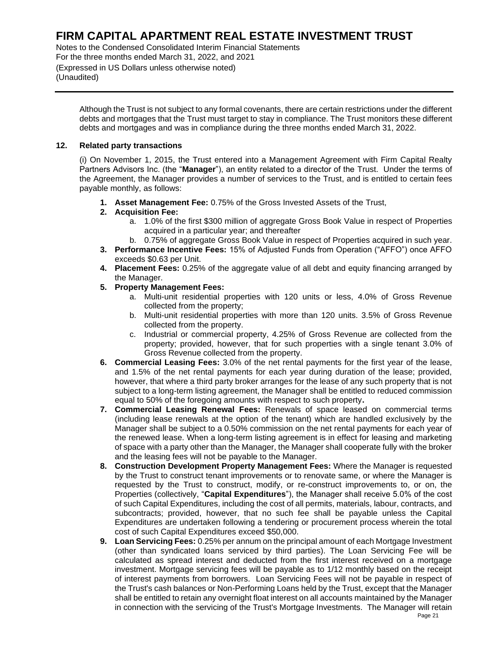Notes to the Condensed Consolidated Interim Financial Statements For the three months ended March 31, 2022, and 2021 (Expressed in US Dollars unless otherwise noted) (Unaudited)

Although the Trust is not subject to any formal covenants, there are certain restrictions under the different debts and mortgages that the Trust must target to stay in compliance. The Trust monitors these different debts and mortgages and was in compliance during the three months ended March 31, 2022.

#### **12. Related party transactions**

(i) On November 1, 2015, the Trust entered into a Management Agreement with Firm Capital Realty Partners Advisors Inc. (the "**Manager**"), an entity related to a director of the Trust. Under the terms of the Agreement, the Manager provides a number of services to the Trust, and is entitled to certain fees payable monthly, as follows:

**1. Asset Management Fee:** 0.75% of the Gross Invested Assets of the Trust,

#### **2. Acquisition Fee:**

- a. 1.0% of the first \$300 million of aggregate Gross Book Value in respect of Properties acquired in a particular year; and thereafter
- b. 0.75% of aggregate Gross Book Value in respect of Properties acquired in such year.
- **3. Performance Incentive Fees:** 15% of Adjusted Funds from Operation ("AFFO") once AFFO exceeds \$0.63 per Unit.
- **4. Placement Fees:** 0.25% of the aggregate value of all debt and equity financing arranged by the Manager.
- **5. Property Management Fees:** 
	- a. Multi-unit residential properties with 120 units or less, 4.0% of Gross Revenue collected from the property;
	- b. Multi-unit residential properties with more than 120 units. 3.5% of Gross Revenue collected from the property.
	- c. Industrial or commercial property, 4.25% of Gross Revenue are collected from the property; provided, however, that for such properties with a single tenant 3.0% of Gross Revenue collected from the property.
- **6. Commercial Leasing Fees:** 3.0% of the net rental payments for the first year of the lease, and 1.5% of the net rental payments for each year during duration of the lease; provided, however, that where a third party broker arranges for the lease of any such property that is not subject to a long-term listing agreement, the Manager shall be entitled to reduced commission equal to 50% of the foregoing amounts with respect to such property**.**
- **7. Commercial Leasing Renewal Fees:** Renewals of space leased on commercial terms (including lease renewals at the option of the tenant) which are handled exclusively by the Manager shall be subject to a 0.50% commission on the net rental payments for each year of the renewed lease. When a long-term listing agreement is in effect for leasing and marketing of space with a party other than the Manager, the Manager shall cooperate fully with the broker and the leasing fees will not be payable to the Manager.
- **8. Construction Development Property Management Fees:** Where the Manager is requested by the Trust to construct tenant improvements or to renovate same, or where the Manager is requested by the Trust to construct, modify, or re-construct improvements to, or on, the Properties (collectively, "**Capital Expenditures**"), the Manager shall receive 5.0% of the cost of such Capital Expenditures, including the cost of all permits, materials, labour, contracts, and subcontracts; provided, however, that no such fee shall be payable unless the Capital Expenditures are undertaken following a tendering or procurement process wherein the total cost of such Capital Expenditures exceed \$50,000.
- **9. Loan Servicing Fees:** 0.25% per annum on the principal amount of each Mortgage Investment (other than syndicated loans serviced by third parties). The Loan Servicing Fee will be calculated as spread interest and deducted from the first interest received on a mortgage investment. Mortgage servicing fees will be payable as to 1/12 monthly based on the receipt of interest payments from borrowers. Loan Servicing Fees will not be payable in respect of the Trust's cash balances or Non-Performing Loans held by the Trust, except that the Manager shall be entitled to retain any overnight float interest on all accounts maintained by the Manager in connection with the servicing of the Trust's Mortgage Investments. The Manager will retain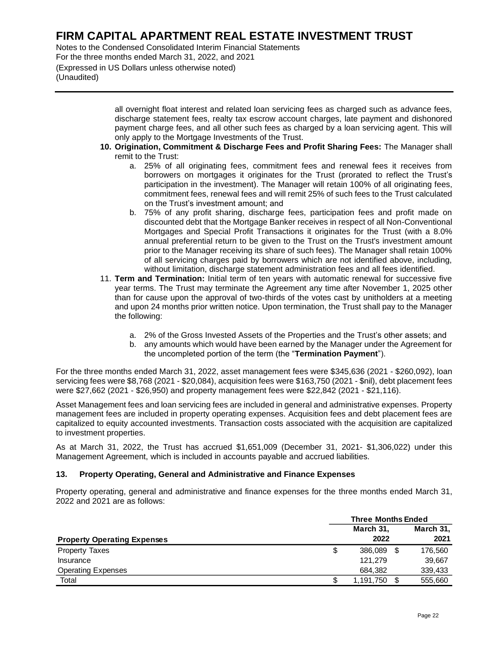Notes to the Condensed Consolidated Interim Financial Statements For the three months ended March 31, 2022, and 2021 (Expressed in US Dollars unless otherwise noted) (Unaudited)

> all overnight float interest and related loan servicing fees as charged such as advance fees, discharge statement fees, realty tax escrow account charges, late payment and dishonored payment charge fees, and all other such fees as charged by a loan servicing agent. This will only apply to the Mortgage Investments of the Trust.

- **10. Origination, Commitment & Discharge Fees and Profit Sharing Fees:** The Manager shall remit to the Trust:
	- a. 25% of all originating fees, commitment fees and renewal fees it receives from borrowers on mortgages it originates for the Trust (prorated to reflect the Trust's participation in the investment). The Manager will retain 100% of all originating fees, commitment fees, renewal fees and will remit 25% of such fees to the Trust calculated on the Trust's investment amount; and
	- b. 75% of any profit sharing, discharge fees, participation fees and profit made on discounted debt that the Mortgage Banker receives in respect of all Non-Conventional Mortgages and Special Profit Transactions it originates for the Trust (with a 8.0% annual preferential return to be given to the Trust on the Trust's investment amount prior to the Manager receiving its share of such fees). The Manager shall retain 100% of all servicing charges paid by borrowers which are not identified above, including, without limitation, discharge statement administration fees and all fees identified.
- 11. **Term and Termination:** Initial term of ten years with automatic renewal for successive five year terms. The Trust may terminate the Agreement any time after November 1, 2025 other than for cause upon the approval of two-thirds of the votes cast by unitholders at a meeting and upon 24 months prior written notice. Upon termination, the Trust shall pay to the Manager the following:
	- a. 2% of the Gross Invested Assets of the Properties and the Trust's other assets; and
	- b. any amounts which would have been earned by the Manager under the Agreement for the uncompleted portion of the term (the "**Termination Payment**").

For the three months ended March 31, 2022, asset management fees were \$345,636 (2021 - \$260,092), loan servicing fees were \$8,768 (2021 - \$20,084), acquisition fees were \$163,750 (2021 - \$nil), debt placement fees were \$27,662 (2021 - \$26,950) and property management fees were \$22,842 (2021 - \$21,116).

Asset Management fees and loan servicing fees are included in general and administrative expenses. Property management fees are included in property operating expenses. Acquisition fees and debt placement fees are capitalized to equity accounted investments. Transaction costs associated with the acquisition are capitalized to investment properties.

As at March 31, 2022, the Trust has accrued \$1,651,009 (December 31, 2021- \$1,306,022) under this Management Agreement, which is included in accounts payable and accrued liabilities.

#### **13. Property Operating, General and Administrative and Finance Expenses**

Property operating, general and administrative and finance expenses for the three months ended March 31, 2022 and 2021 are as follows:

|                                    | <b>Three Months Ended</b> |           |           |
|------------------------------------|---------------------------|-----------|-----------|
|                                    |                           | March 31, | March 31, |
| <b>Property Operating Expenses</b> |                           | 2022      | 2021      |
| <b>Property Taxes</b>              | \$                        | 386.089   | 176.560   |
| Insurance                          |                           | 121.279   | 39,667    |
| <b>Operating Expenses</b>          |                           | 684.382   | 339,433   |
| Total                              |                           | 1,191,750 | 555,660   |